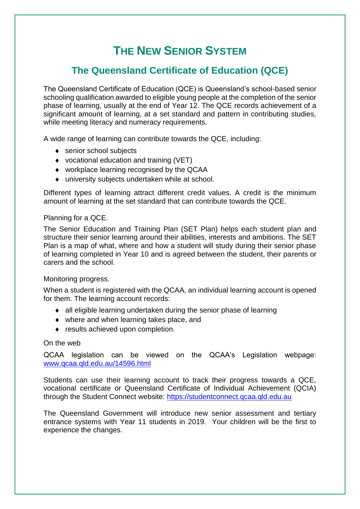# **THE NEW SENIOR SYSTEM**

# **The Queensland Certificate of Education (QCE)**

The Queensland Certificate of Education (QCE) is Queensland's school-based senior schooling qualification awarded to eligible young people at the completion of the senior phase of learning, usually at the end of Year 12. The QCE records achievement of a significant amount of learning, at a set standard and pattern in contributing studies, while meeting literacy and numeracy requirements.

A wide range of learning can contribute towards the QCE, including:

- ◆ senior school subjects
- vocational education and training (VET)
- workplace learning recognised by the QCAA
- university subjects undertaken while at school.

Different types of learning attract different credit values. A credit is the minimum amount of learning at the set standard that can contribute towards the QCE.

#### Planning for a QCE.

The Senior Education and Training Plan (SET Plan) helps each student plan and structure their senior learning around their abilities, interests and ambitions. The SET Plan is a map of what, where and how a student will study during their senior phase of learning completed in Year 10 and is agreed between the student, their parents or carers and the school.

#### Monitoring progress.

When a student is registered with the QCAA, an individual learning account is opened for them. The learning account records:

- all eligible learning undertaken during the senior phase of learning
- where and when learning takes place, and
- results achieved upon completion.

### On the web

QCAA legislation can be viewed on the QCAA's Legislation webpage: [www.qcaa.qld.edu.au/14596.html](http://www.qcaa.qld.edu.au/14596.html)

Students can use their learning account to track their progress towards a QCE, vocational certificate or Queensland Certificate of Individual Achievement (QCIA) through the Student Connect website: [https://studentconnect.qcaa.qld.edu.au](https://studentconnect.qcaa.qld.edu.au/)

The Queensland Government will introduce new senior assessment and tertiary entrance systems with Year 11 students in 2019. Your children will be the first to experience the changes.